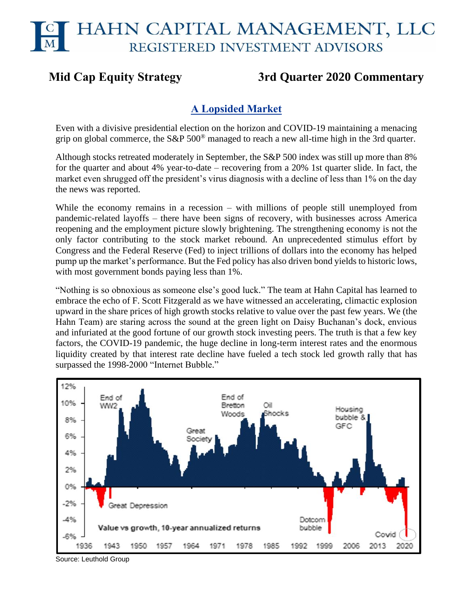# **Mid Cap Equity Strategy 3rd Quarter 2020 Commentary**

# **A Lopsided Market**

Even with a divisive presidential election on the horizon and COVID-19 maintaining a menacing grip on global commerce, the S&P 500® managed to reach a new all-time high in the 3rd quarter.

Although stocks retreated moderately in September, the S&P 500 index was still up more than 8% for the quarter and about 4% year-to-date – recovering from a 20% 1st quarter slide. In fact, the market even shrugged off the president's virus diagnosis with a decline of less than 1% on the day the news was reported.

While the economy remains in a recession – with millions of people still unemployed from pandemic-related layoffs – there have been signs of recovery, with businesses across America reopening and the employment picture slowly brightening. The strengthening economy is not the only factor contributing to the stock market rebound. An unprecedented stimulus effort by Congress and the Federal Reserve (Fed) to inject trillions of dollars into the economy has helped pump up the market's performance. But the Fed policy has also driven bond yields to historic lows, with most government bonds paying less than 1%.

"Nothing is so obnoxious as someone else's good luck." The team at Hahn Capital has learned to embrace the echo of F. Scott Fitzgerald as we have witnessed an accelerating, climactic explosion upward in the share prices of high growth stocks relative to value over the past few years. We (the Hahn Team) are staring across the sound at the green light on Daisy Buchanan's dock, envious and infuriated at the good fortune of our growth stock investing peers. The truth is that a few key factors, the COVID-19 pandemic, the huge decline in long-term interest rates and the enormous liquidity created by that interest rate decline have fueled a tech stock led growth rally that has surpassed the 1998-2000 "Internet Bubble."



Source: Leuthold Group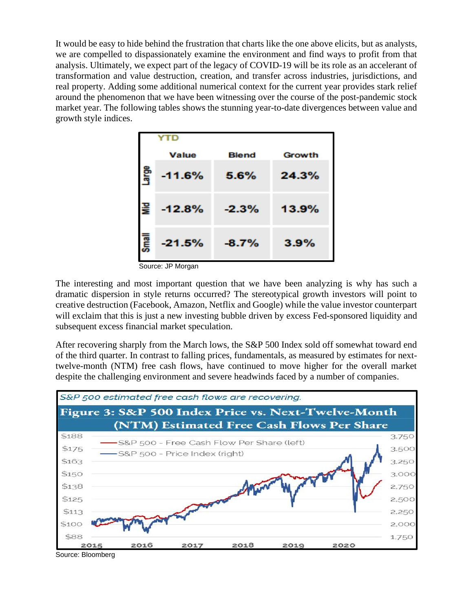It would be easy to hide behind the frustration that charts like the one above elicits, but as analysts, we are compelled to dispassionately examine the environment and find ways to profit from that analysis. Ultimately, we expect part of the legacy of COVID-19 will be its role as an accelerant of transformation and value destruction, creation, and transfer across industries, jurisdictions, and real property. Adding some additional numerical context for the current year provides stark relief around the phenomenon that we have been witnessing over the course of the post-pandemic stock market year. The following tables shows the stunning year-to-date divergences between value and growth style indices.

|              | YTD          |              |               |
|--------------|--------------|--------------|---------------|
|              | <b>Value</b> | <b>Blend</b> | <b>Growth</b> |
| Large        | $-11.6%$     | 5.6%         | 24.3%         |
| ξ            | $-12.8%$     | $-2.3%$      | 13.9%         |
| <b>Small</b> | $-21.5%$     | $-8.7%$      | 3.9%          |

Source: JP Morgan

The interesting and most important question that we have been analyzing is why has such a dramatic dispersion in style returns occurred? The stereotypical growth investors will point to creative destruction (Facebook, Amazon, Netflix and Google) while the value investor counterpart will exclaim that this is just a new investing bubble driven by excess Fed-sponsored liquidity and subsequent excess financial market speculation.

After recovering sharply from the March lows, the S&P 500 Index sold off somewhat toward end of the third quarter. In contrast to falling prices, fundamentals, as measured by estimates for nexttwelve-month (NTM) free cash flows, have continued to move higher for the overall market despite the challenging environment and severe headwinds faced by a number of companies.



Source: Bloomberg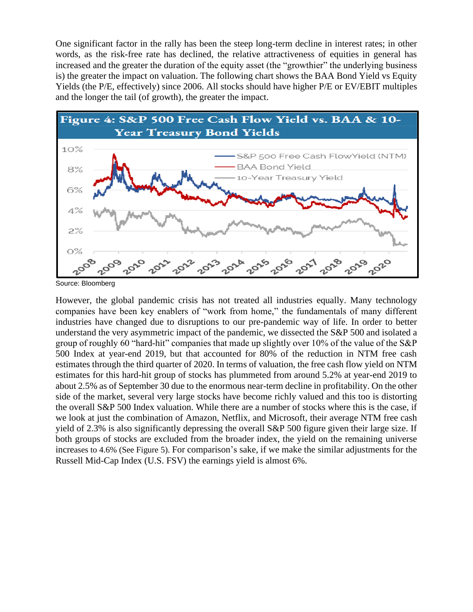One significant factor in the rally has been the steep long-term decline in interest rates; in other words, as the risk-free rate has declined, the relative attractiveness of equities in general has increased and the greater the duration of the equity asset (the "growthier" the underlying business is) the greater the impact on valuation. The following chart shows the BAA Bond Yield vs Equity Yields (the P/E, effectively) since 2006. All stocks should have higher P/E or EV/EBIT multiples and the longer the tail (of growth), the greater the impact.



Source: Bloomberg

However, the global pandemic crisis has not treated all industries equally. Many technology companies have been key enablers of "work from home," the fundamentals of many different industries have changed due to disruptions to our pre-pandemic way of life. In order to better understand the very asymmetric impact of the pandemic, we dissected the S&P 500 and isolated a group of roughly 60 "hard-hit" companies that made up slightly over 10% of the value of the S&P 500 Index at year-end 2019, but that accounted for 80% of the reduction in NTM free cash estimates through the third quarter of 2020. In terms of valuation, the free cash flow yield on NTM estimates for this hard-hit group of stocks has plummeted from around 5.2% at year-end 2019 to about 2.5% as of September 30 due to the enormous near-term decline in profitability. On the other side of the market, several very large stocks have become richly valued and this too is distorting the overall S&P 500 Index valuation. While there are a number of stocks where this is the case, if we look at just the combination of Amazon, Netflix, and Microsoft, their average NTM free cash yield of 2.3% is also significantly depressing the overall S&P 500 figure given their large size. If both groups of stocks are excluded from the broader index, the yield on the remaining universe increases to 4.6% (See Figure 5). For comparison's sake, if we make the similar adjustments for the Russell Mid-Cap Index (U.S. FSV) the earnings yield is almost 6%.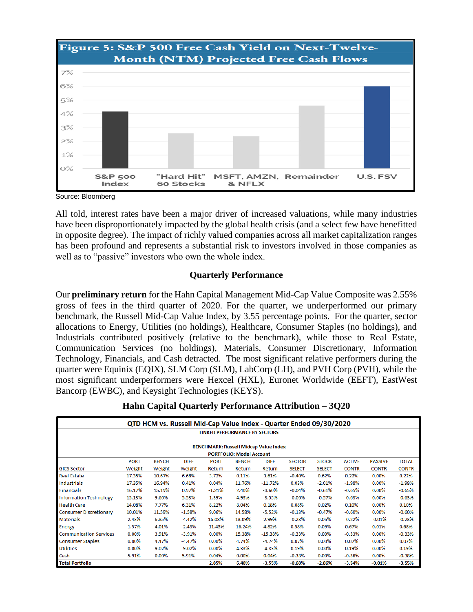

Source: Bloomberg

All told, interest rates have been a major driver of increased valuations, while many industries have been disproportionately impacted by the global health crisis (and a select few have benefitted in opposite degree). The impact of richly valued companies across all market capitalization ranges has been profound and represents a substantial risk to investors involved in those companies as well as to "passive" investors who own the whole index.

# **Quarterly Performance**

Our **preliminary return** for the Hahn Capital Management Mid-Cap Value Composite was 2.55% gross of fees in the third quarter of 2020. For the quarter, we underperformed our primary benchmark, the Russell Mid-Cap Value Index, by 3.55 percentage points. For the quarter, sector allocations to Energy, Utilities (no holdings), Healthcare, Consumer Staples (no holdings), and Industrials contributed positively (relative to the benchmark), while those to Real Estate, Communication Services (no holdings), Materials, Consumer Discretionary, Information Technology, Financials, and Cash detracted. The most significant relative performers during the quarter were Equinix (EQIX), SLM Corp (SLM), LabCorp (LH), and PVH Corp (PVH), while the most significant underperformers were Hexcel (HXL), Euronet Worldwide (EEFT), EastWest Bancorp (EWBC), and Keysight Technologies (KEYS).

|  | Hahn Capital Quarterly Performance Attribution - 3Q20 |  |
|--|-------------------------------------------------------|--|
|  |                                                       |  |

|                                              | QTD HCM vs. Russell Mid-Cap Value Index - Quarter Ended 09/30/2020 |              |             |             |                                 |             |               |               |               |                |              |
|----------------------------------------------|--------------------------------------------------------------------|--------------|-------------|-------------|---------------------------------|-------------|---------------|---------------|---------------|----------------|--------------|
|                                              | <b>LINKED PERFORMANCE BY SECTORS</b>                               |              |             |             |                                 |             |               |               |               |                |              |
| <b>BENCHMARK: Russell Midcap Value Index</b> |                                                                    |              |             |             |                                 |             |               |               |               |                |              |
|                                              |                                                                    |              |             |             | <b>PORTFOLIO: Model Account</b> |             |               |               |               |                |              |
|                                              | <b>PORT</b>                                                        | <b>BENCH</b> | <b>DIFF</b> | <b>PORT</b> | <b>BENCH</b>                    | <b>DIFF</b> | <b>SECTOR</b> | <b>STOCK</b>  | <b>ACTIVE</b> | <b>PASSIVE</b> | <b>TOTAL</b> |
| <b>GICS Sector</b>                           | Weight                                                             | Weight       | Weight      | Return      | Return                          | Return      | <b>SELECT</b> | <b>SELECT</b> | <b>CONTR</b>  | <b>CONTR</b>   | <b>CONTR</b> |
| <b>Real Estate</b>                           | 17.35%                                                             | 10.67%       | 6.68%       | 3.72%       | 0.11%                           | 3.61%       | $-0.40%$      | 0.62%         | 0.22%         | $0.00\%$       | 0.22%        |
| Industrials                                  | 17.35%                                                             | 16.94%       | 0.41%       | 0.04%       | 11.76%                          | $-11.72%$   | 0.03%         | $-2.01%$      | $-1.98%$      | 0.00%          | $-1.98%$     |
| <b>Financials</b>                            | 16.17%                                                             | 15.19%       | 0.97%       | $-1.21%$    | 2.40%                           | $-3.60%$    | $-0.04%$      | $-0.61%$      | $-0.65%$      | 0.00%          | $-0.65%$     |
| <b>Information Technology</b>                | 15.13%                                                             | 9.60%        | 5.53%       | 1.39%       | 4.93%                           | $-3.55%$    | $-0.06%$      | $-0.57%$      | $-0.63%$      | 0.00%          | $-0.63%$     |
| <b>Health Care</b>                           | 14.08%                                                             | 7.77%        | 6.31%       | 8.22%       | 8.04%                           | 0.18%       | 0.08%         | 0.02%         | 0.10%         | 0.00%          | 0.10%        |
| <b>Consumer Discretionary</b>                | 10.01%                                                             | 11.59%       | $-1.58%$    | 9.06%       | 14.58%                          | $-5.52%$    | $-0.13%$      | $-0.47%$      | $-0.60%$      | 0.00%          | $-0.60%$     |
| <b>Materials</b>                             | 2.43%                                                              | 6.85%        | $-4.42%$    | 16.08%      | 13.09%                          | 2.99%       | $-0.28%$      | 0.06%         | $-0.22%$      | $-0.01%$       | $-0.23%$     |
| <b>Energy</b>                                | 1.57%                                                              | 4.01%        | $-2.43%$    | $-11.43%$   | $-16.24%$                       | 4.82%       | 0.58%         | 0.09%         | 0.67%         | 0.01%          | 0.68%        |
| <b>Communication Services</b>                | 0.00%                                                              | 3.91%        | $-3.91%$    | 0.00%       | 15.38%                          | $-15.38%$   | $-0.33%$      | $0.00\%$      | $-0.33%$      | 0.00%          | $-0.33%$     |
| <b>Consumer Staples</b>                      | 0.00%                                                              | 4.47%        | $-4.47%$    | $0.00\%$    | 4.74%                           | $-4.74%$    | 0.07%         | $0.00\%$      | 0.07%         | 0.00%          | 0.07%        |
| <b>Utilities</b>                             | $0.00\%$                                                           | 9.02%        | $-9.02%$    | 0.00%       | 4.33%                           | $-4.33%$    | 0.19%         | $0.00\%$      | 0.19%         | 0.00%          | 0.19%        |
| Cash                                         | 5.91%                                                              | 0.00%        | 5.91%       | 0.04%       | 0.00%                           | 0.04%       | $-0.38%$      | $0.00\%$      | $-0.38%$      | 0.00%          | $-0.38%$     |
| <b>Total Portfolio</b>                       |                                                                    |              |             | 2.85%       | 6.40%                           | $-3.55%$    | $-0.68%$      | $-2.86%$      | $-3.54%$      | $-0.01%$       | $-3.55%$     |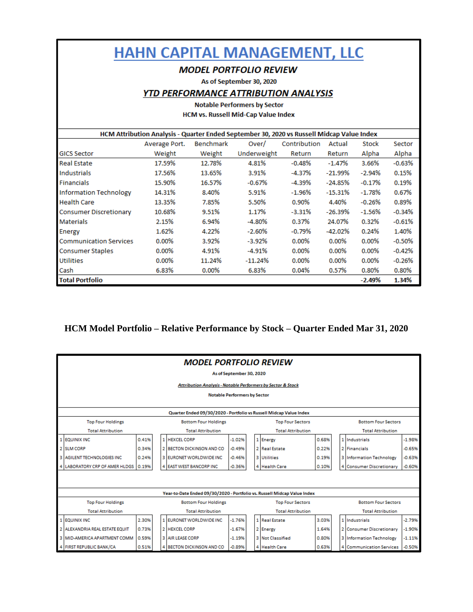# **HAHN CAPITAL MANAGEMENT, LLC**

# **MODEL PORTFOLIO REVIEW**

As of September 30, 2020

### **YTD PERFORMANCE ATTRIBUTION ANALYSIS**

#### **Notable Performers by Sector** HCM vs. Russell Mid-Cap Value Index

|                               | HCM Attribution Analysis - Quarter Ended September 30, 2020 vs Russell Midcap Value Index |                  |             |              |           |              |           |  |  |  |  |  |
|-------------------------------|-------------------------------------------------------------------------------------------|------------------|-------------|--------------|-----------|--------------|-----------|--|--|--|--|--|
|                               | Average Port.                                                                             | <b>Benchmark</b> | Over/       | Contribution | Actual    | <b>Stock</b> | Sector    |  |  |  |  |  |
| <b>GICS Sector</b>            | Weight                                                                                    | Weight           | Underweight | Return       | Return    | Alpha        | Alpha     |  |  |  |  |  |
| <b>Real Estate</b>            | 17.59%                                                                                    | 12.78%           | 4.81%       | $-0.48%$     | $-1.47%$  | 3.66%        | $-0.63%$  |  |  |  |  |  |
| <b>Industrials</b>            | 17.56%                                                                                    | 13.65%           | 3.91%       | -4.37%       | -21.99%   | -2.94%       | 0.15%     |  |  |  |  |  |
| <b>Financials</b>             | 15.90%                                                                                    | 16.57%           | $-0.67%$    | -4.39%       | $-24.85%$ | $-0.17%$     | 0.19%     |  |  |  |  |  |
| <b>Information Technology</b> | 14.31%                                                                                    | 8.40%            | 5.91%       | $-1.96\%$    | $-15.31%$ | $-1.78\%$    | 0.67%     |  |  |  |  |  |
| <b>Health Care</b>            | 13.35%                                                                                    | 7.85%            | 5.50%       | 0.90%        | 4.40%     | $-0.26%$     | 0.89%     |  |  |  |  |  |
| <b>Consumer Discretionary</b> | 10.68%                                                                                    | 9.51%            | 1.17%       | $-3.31%$     | $-26.39%$ | $-1.56\%$    | $-0.34%$  |  |  |  |  |  |
| <b>Materials</b>              | 2.15%                                                                                     | 6.94%            | -4.80%      | 0.37%        | 24.07%    | 0.32%        | $-0.61%$  |  |  |  |  |  |
| Energy                        | 1.62%                                                                                     | 4.22%            | $-2.60%$    | $-0.79%$     | $-42.02%$ | 0.24%        | 1.40%     |  |  |  |  |  |
| <b>Communication Services</b> | $0.00\%$                                                                                  | 3.92%            | $-3.92\%$   | 0.00%        | $0.00\%$  | 0.00%        | $-0.50\%$ |  |  |  |  |  |
| Consumer Staples              | $0.00\%$                                                                                  | 4.91%            | $-4.91%$    | 0.00%        | 0.00%     | $0.00\%$     | $-0.42%$  |  |  |  |  |  |
| <b>Utilities</b>              | $0.00\%$                                                                                  | 11.24%           | $-11.24%$   | $0.00\%$     | 0.00%     | 0.00%        | $-0.26%$  |  |  |  |  |  |
| Cash                          | 6.83%                                                                                     | 0.00%            | 6.83%       | 0.04%        | 0.57%     | 0.80%        | 0.80%     |  |  |  |  |  |
| <b>Total Portfolio</b>        |                                                                                           |                  |             |              |           | $-2.49%$     | 1.34%     |  |  |  |  |  |

# **HCM Model Portfolio – Relative Performance by Stock – Quarter Ended Mar 31, 2020**

| <b>MODEL PORTFOLIO REVIEW</b><br>As of September 30, 2020                                                     |       |  |    |                                                                          |          |  |  |                          |       |  |                                 |          |
|---------------------------------------------------------------------------------------------------------------|-------|--|----|--------------------------------------------------------------------------|----------|--|--|--------------------------|-------|--|---------------------------------|----------|
| <b>Attribution Analysis - Notable Performers by Sector &amp; Stock</b><br><b>Notable Performers by Sector</b> |       |  |    |                                                                          |          |  |  |                          |       |  |                                 |          |
| Quarter Ended 09/30/2020 - Portfolio vs Russell Midcap Value Index                                            |       |  |    |                                                                          |          |  |  |                          |       |  |                                 |          |
| <b>Top Four Holdings</b>                                                                                      |       |  |    | <b>Bottom Four Holdings</b>                                              |          |  |  | <b>Top Four Sectors</b>  |       |  | <b>Bottom Four Sectors</b>      |          |
| <b>Total Attribution</b>                                                                                      |       |  |    | <b>Total Attribution</b>                                                 |          |  |  | <b>Total Attribution</b> |       |  | <b>Total Attribution</b>        |          |
| 1 EQUINIX INC                                                                                                 | 0.41% |  |    | 1 HEXCEL CORP                                                            | $-1.02%$ |  |  | 1 Energy                 | 0.68% |  | 1 Industrials                   | $-1.98%$ |
| 2 SLM CORP                                                                                                    | 0.34% |  | 21 | <b>BECTON DICKINSON AND CO</b>                                           | $-0.49%$ |  |  | 2 Real Estate            | 0.22% |  | 2 Financials                    | $-0.65%$ |
| 3 AGILENT TECHNOLOGIES INC                                                                                    | 0.24% |  |    | 3 EURONET WORLDWIDE INC.                                                 | $-0.46%$ |  |  | <b>3</b> Utilities       | 0.19% |  | <b>3 Information Technology</b> | $-0.63%$ |
| 4 LABORATORY CRP OF AMER HLDGS                                                                                | 0.19% |  |    | 4 EAST WEST BANCORP INC                                                  | $-0.36%$ |  |  | 4 Health Care            | 0.10% |  | 4 Consumer Discretionary        | $-0.60%$ |
|                                                                                                               |       |  |    |                                                                          |          |  |  |                          |       |  |                                 |          |
|                                                                                                               |       |  |    |                                                                          |          |  |  |                          |       |  |                                 |          |
|                                                                                                               |       |  |    | Year-to-Date Ended 09/30/2020 - Portfolio vs. Russell Midcap Value Index |          |  |  |                          |       |  |                                 |          |
| <b>Top Four Holdings</b>                                                                                      |       |  |    | <b>Bottom Four Holdings</b>                                              |          |  |  | <b>Top Four Sectors</b>  |       |  | <b>Bottom Four Sectors</b>      |          |
| <b>Total Attribution</b>                                                                                      |       |  |    | <b>Total Attribution</b>                                                 |          |  |  | <b>Total Attribution</b> |       |  | <b>Total Attribution</b>        |          |
| 1 EQUINIX INC                                                                                                 | 2.30% |  |    | 1 EURONET WORLDWIDE INC                                                  | $-1.76%$ |  |  | 1 Real Estate            | 3.03% |  | 1 Industrials                   | $-2.79%$ |
| 2 ALEXANDRIA REAL ESTATE EQUIT                                                                                | 0.73% |  |    | 2 HEXCEL CORP                                                            | $-1.67%$ |  |  | 2 Energy                 | 1.64% |  | 2 Consumer Discretionary        | $-1.90%$ |
| 3 MID-AMERICA APARTMENT COMM                                                                                  | 0.59% |  |    | 3 AIR LEASE CORP                                                         | $-1.19%$ |  |  | 3 Not Classified         | 0.80% |  | <b>3 Information Technology</b> | $-1.11%$ |
| 4 FIRST REPUBLIC BANK/CA                                                                                      | 0.51% |  |    | 4 BECTON DICKINSON AND CO                                                | $-0.89%$ |  |  | 4 Health Care            | 0.63% |  | 4 Communication Services        | $-0.50%$ |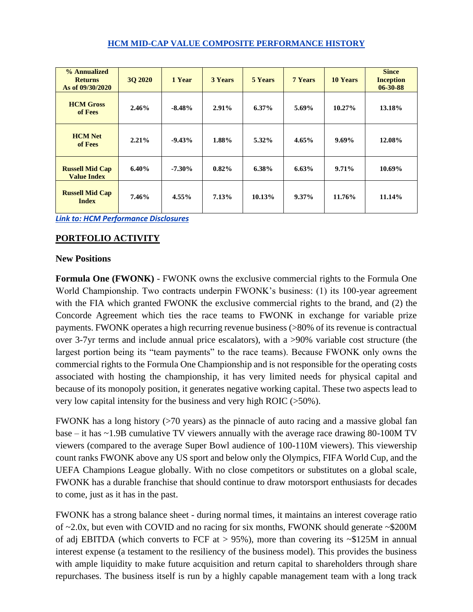### **HCM MID-CAP VALUE COMPOSITE PERFORMANCE HISTORY**

| % Annualized<br><b>Returns</b><br>As of 09/30/2020 | 30 20 20 | 1 Year    | <b>3 Years</b> | 5 Years  | <b>7 Years</b> | <b>10 Years</b> | <b>Since</b><br><b>Inception</b><br>$06 - 30 - 88$ |
|----------------------------------------------------|----------|-----------|----------------|----------|----------------|-----------------|----------------------------------------------------|
| <b>HCM</b> Gross<br>of Fees                        | 2.46%    | $-8.48%$  | $2.91\%$       | $6.37\%$ | 5.69%          | $10.27\%$       | 13.18%                                             |
| <b>HCM Net</b><br>of Fees                          | $2.21\%$ | $-9.43%$  | 1.88%          | $5.32\%$ | 4.65%          | $9.69\%$        | 12.08%                                             |
| <b>Russell Mid Cap</b><br><b>Value Index</b>       | $6.40\%$ | $-7.30\%$ | 0.82%          | $6.38\%$ | 6.63%          | $9.71\%$        | 10.69%                                             |
| <b>Russell Mid Cap</b><br><b>Index</b>             | 7.46%    | $4.55\%$  | 7.13%          | 10.13%   | $9.37\%$       | 11.76%          | 11.14%                                             |

*[Link to: HCM Performance Disclosures](https://img1.wsimg.com/blobby/go/c17b70fa-11ea-4e3b-9a08-77e0dd611618/downloads/HCM_Performance_Disclosures.pdf?ver=1602097856437)*

# **PORTFOLIO ACTIVITY**

# **New Positions**

**Formula One (FWONK)** - FWONK owns the exclusive commercial rights to the Formula One World Championship. Two contracts underpin FWONK's business: (1) its 100-year agreement with the FIA which granted FWONK the exclusive commercial rights to the brand, and (2) the Concorde Agreement which ties the race teams to FWONK in exchange for variable prize payments. FWONK operates a high recurring revenue business (>80% of its revenue is contractual over 3-7yr terms and include annual price escalators), with a >90% variable cost structure (the largest portion being its "team payments" to the race teams). Because FWONK only owns the commercial rights to the Formula One Championship and is not responsible for the operating costs associated with hosting the championship, it has very limited needs for physical capital and because of its monopoly position, it generates negative working capital. These two aspects lead to very low capital intensity for the business and very high ROIC (>50%).

FWONK has a long history (>70 years) as the pinnacle of auto racing and a massive global fan base – it has ~1.9B cumulative TV viewers annually with the average race drawing 80-100M TV viewers (compared to the average Super Bowl audience of 100-110M viewers). This viewership count ranks FWONK above any US sport and below only the Olympics, FIFA World Cup, and the UEFA Champions League globally. With no close competitors or substitutes on a global scale, FWONK has a durable franchise that should continue to draw motorsport enthusiasts for decades to come, just as it has in the past.

FWONK has a strong balance sheet - during normal times, it maintains an interest coverage ratio of ~2.0x, but even with COVID and no racing for six months, FWONK should generate ~\$200M of adj EBITDA (which converts to FCF at  $> 95\%$ ), more than covering its ~\$125M in annual interest expense (a testament to the resiliency of the business model). This provides the business with ample liquidity to make future acquisition and return capital to shareholders through share repurchases. The business itself is run by a highly capable management team with a long track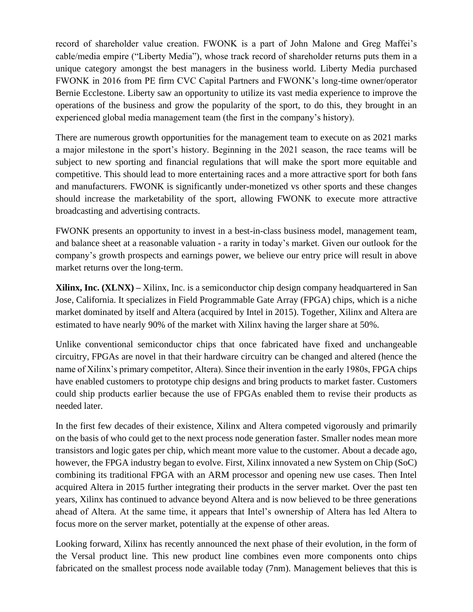record of shareholder value creation. FWONK is a part of John Malone and Greg Maffei's cable/media empire ("Liberty Media"), whose track record of shareholder returns puts them in a unique category amongst the best managers in the business world. Liberty Media purchased FWONK in 2016 from PE firm CVC Capital Partners and FWONK's long-time owner/operator Bernie Ecclestone. Liberty saw an opportunity to utilize its vast media experience to improve the operations of the business and grow the popularity of the sport, to do this, they brought in an experienced global media management team (the first in the company's history).

There are numerous growth opportunities for the management team to execute on as 2021 marks a major milestone in the sport's history. Beginning in the 2021 season, the race teams will be subject to new sporting and financial regulations that will make the sport more equitable and competitive. This should lead to more entertaining races and a more attractive sport for both fans and manufacturers. FWONK is significantly under-monetized vs other sports and these changes should increase the marketability of the sport, allowing FWONK to execute more attractive broadcasting and advertising contracts.

FWONK presents an opportunity to invest in a best-in-class business model, management team, and balance sheet at a reasonable valuation - a rarity in today's market. Given our outlook for the company's growth prospects and earnings power, we believe our entry price will result in above market returns over the long-term.

**Xilinx, Inc. (XLNX) –** Xilinx, Inc. is a semiconductor chip design company headquartered in San Jose, California. It specializes in Field Programmable Gate Array (FPGA) chips, which is a niche market dominated by itself and Altera (acquired by Intel in 2015). Together, Xilinx and Altera are estimated to have nearly 90% of the market with Xilinx having the larger share at 50%.

Unlike conventional semiconductor chips that once fabricated have fixed and unchangeable circuitry, FPGAs are novel in that their hardware circuitry can be changed and altered (hence the name of Xilinx's primary competitor, Altera). Since their invention in the early 1980s, FPGA chips have enabled customers to prototype chip designs and bring products to market faster. Customers could ship products earlier because the use of FPGAs enabled them to revise their products as needed later.

In the first few decades of their existence, Xilinx and Altera competed vigorously and primarily on the basis of who could get to the next process node generation faster. Smaller nodes mean more transistors and logic gates per chip, which meant more value to the customer. About a decade ago, however, the FPGA industry began to evolve. First, Xilinx innovated a new System on Chip (SoC) combining its traditional FPGA with an ARM processor and opening new use cases. Then Intel acquired Altera in 2015 further integrating their products in the server market. Over the past ten years, Xilinx has continued to advance beyond Altera and is now believed to be three generations ahead of Altera. At the same time, it appears that Intel's ownership of Altera has led Altera to focus more on the server market, potentially at the expense of other areas.

Looking forward, Xilinx has recently announced the next phase of their evolution, in the form of the Versal product line. This new product line combines even more components onto chips fabricated on the smallest process node available today (7nm). Management believes that this is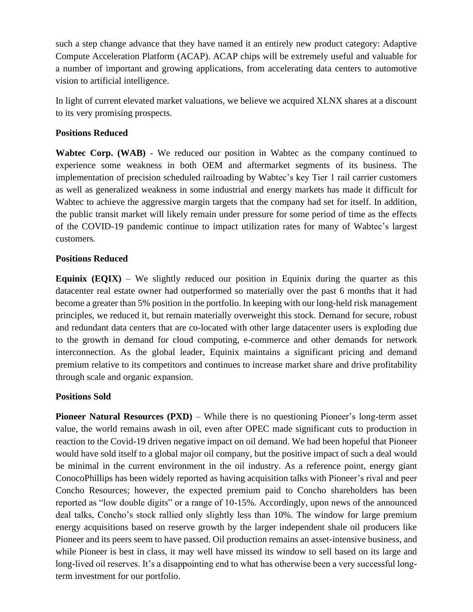such a step change advance that they have named it an entirely new product category: Adaptive Compute Acceleration Platform (ACAP). ACAP chips will be extremely useful and valuable for a number of important and growing applications, from accelerating data centers to automotive vision to artificial intelligence.

In light of current elevated market valuations, we believe we acquired XLNX shares at a discount to its very promising prospects.

# **Positions Reduced**

**Wabtec Corp. (WAB)** - We reduced our position in Wabtec as the company continued to experience some weakness in both OEM and aftermarket segments of its business. The implementation of precision scheduled railroading by Wabtec's key Tier 1 rail carrier customers as well as generalized weakness in some industrial and energy markets has made it difficult for Wabtec to achieve the aggressive margin targets that the company had set for itself. In addition, the public transit market will likely remain under pressure for some period of time as the effects of the COVID-19 pandemic continue to impact utilization rates for many of Wabtec's largest customers.

# **Positions Reduced**

**Equinix (EQIX)** – We slightly reduced our position in Equinix during the quarter as this datacenter real estate owner had outperformed so materially over the past 6 months that it had become a greater than 5% position in the portfolio. In keeping with our long-held risk management principles, we reduced it, but remain materially overweight this stock. Demand for secure, robust and redundant data centers that are co-located with other large datacenter users is exploding due to the growth in demand for cloud computing, e-commerce and other demands for network interconnection. As the global leader, Equinix maintains a significant pricing and demand premium relative to its competitors and continues to increase market share and drive profitability through scale and organic expansion.

# **Positions Sold**

**Pioneer Natural Resources (PXD)** – While there is no questioning Pioneer's long-term asset value, the world remains awash in oil, even after OPEC made significant cuts to production in reaction to the Covid-19 driven negative impact on oil demand. We had been hopeful that Pioneer would have sold itself to a global major oil company, but the positive impact of such a deal would be minimal in the current environment in the oil industry. As a reference point, energy giant ConocoPhillips has been widely reported as having acquisition talks with Pioneer's rival and peer Concho Resources; however, the expected premium paid to Concho shareholders has been reported as "low double digits" or a range of 10-15%. Accordingly, upon news of the announced deal talks, Concho's stock rallied only slightly less than 10%. The window for large premium energy acquisitions based on reserve growth by the larger independent shale oil producers like Pioneer and its peers seem to have passed. Oil production remains an asset-intensive business, and while Pioneer is best in class, it may well have missed its window to sell based on its large and long-lived oil reserves. It's a disappointing end to what has otherwise been a very successful longterm investment for our portfolio.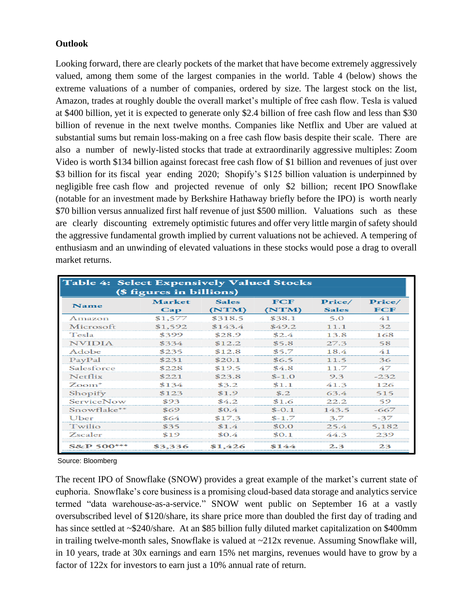# **Outlook**

Looking forward, there are clearly pockets of the market that have become extremely aggressively valued, among them some of the largest companies in the world. Table 4 (below) shows the extreme valuations of a number of companies, ordered by size. The largest stock on the list, Amazon, trades at roughly double the overall market's multiple of free cash flow. Tesla is valued at \$400 billion, yet it is expected to generate only \$2.4 billion of free cash flow and less than \$30 billion of revenue in the next twelve months. Companies like Netflix and Uber are valued at substantial sums but remain loss-making on a free cash flow basis despite their scale. There are also a number of newly-listed stocks that trade at extraordinarily aggressive multiples: Zoom Video is worth \$134 billion against forecast free cash flow of \$1 billion and revenues of just over \$3 billion for its fiscal year ending 2020; Shopify's \$125 billion valuation is underpinned by negligible free cash flow and projected revenue of only \$2 billion; recent IPO Snowflake (notable for an investment made by Berkshire Hathaway briefly before the IPO) is worth nearly \$70 billion versus annualized first half revenue of just \$500 million. Valuations such as these are clearly discounting extremely optimistic futures and offer very little margin of safety should the aggressive fundamental growth implied by current valuations not be achieved. A tempering of enthusiasm and an unwinding of elevated valuations in these stocks would pose a drag to overall market returns.

| Table 4: Select Expensively Valued Stocks |                          |              |            |              |           |  |  |  |  |  |  |  |
|-------------------------------------------|--------------------------|--------------|------------|--------------|-----------|--|--|--|--|--|--|--|
|                                           | (\$ figures in billions) |              |            |              |           |  |  |  |  |  |  |  |
| Name                                      | Market                   | <b>Sales</b> | <b>FCF</b> | Price/       | Price/    |  |  |  |  |  |  |  |
|                                           | $\bf Cap$                | (NTM)        | (NTM)      | <b>Sales</b> | ${ }$ FCF |  |  |  |  |  |  |  |
| Amazon                                    | \$1,577                  | \$318.5      | \$38.1     | 5.0          | 41        |  |  |  |  |  |  |  |
| Microsoft                                 | \$1,592                  | \$143.4      | \$49.2     | 11.1         | 32        |  |  |  |  |  |  |  |
| Tesla                                     | \$399                    | \$28.9       | \$2.4      | 13.8         | 168       |  |  |  |  |  |  |  |
| <b>NVIDIA</b>                             | \$334                    | \$12.2       | \$5.8      | 27.3         | 58        |  |  |  |  |  |  |  |
| Adobe                                     | \$235                    | \$12.8       | \$5.7      | 18.4         | 41        |  |  |  |  |  |  |  |
| PayPal                                    | \$231                    | \$20.1       | \$6.5      | 11.5         | 36        |  |  |  |  |  |  |  |
| Salesforce                                | \$228                    | \$19.5       | \$4.8      | 11.7         | 47        |  |  |  |  |  |  |  |
| Netflix                                   | \$221                    | \$23.8       | $$ -1.0$   | 9.3          | $-232$    |  |  |  |  |  |  |  |
| $Zoom*$                                   | \$134                    | \$3.2        | \$1.1      | 41.3         | 126       |  |  |  |  |  |  |  |
| Shopify                                   | \$123                    | \$1.9        | \$.2       | 63.4         | 515       |  |  |  |  |  |  |  |
| <b>ServiceNow</b>                         | \$93                     | \$4.2        | \$1.6      | 22.2         | 59        |  |  |  |  |  |  |  |
| Snowflake**                               | \$69                     | \$0.4        | $$-0.1$    | 143.5        | -667      |  |  |  |  |  |  |  |
| <b>U</b> ber                              | \$64                     | \$17.3       | $$-1.7$    | 3.7          | $-37$     |  |  |  |  |  |  |  |
| Twilio                                    | \$35                     | \$1.4        | \$0.0      | 25.4         | 5,182     |  |  |  |  |  |  |  |
| Zscaler                                   | \$19                     | \$0.4        | \$0.1      | 44.3         | 239       |  |  |  |  |  |  |  |
| <b>S&amp;P 500***</b>                     | \$3,336                  | \$1,426      | \$144      | 2.3          | 23        |  |  |  |  |  |  |  |

Source: Bloomberg

The recent IPO of Snowflake (SNOW) provides a great example of the market's current state of euphoria. Snowflake's core business is a promising cloud-based data storage and analytics service termed "data warehouse-as-a-service." SNOW went public on September 16 at a vastly oversubscribed level of \$120/share, its share price more than doubled the first day of trading and has since settled at ~\$240/share. At an \$85 billion fully diluted market capitalization on \$400mm in trailing twelve-month sales, Snowflake is valued at  $\sim$ 212x revenue. Assuming Snowflake will, in 10 years, trade at 30x earnings and earn 15% net margins, revenues would have to grow by a factor of 122x for investors to earn just a 10% annual rate of return.